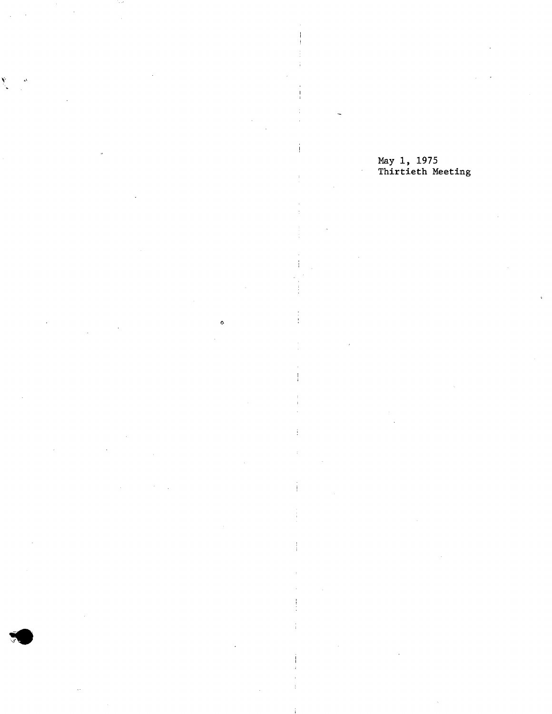ó.

10

# May 1, 1975 Thirtieth Meeting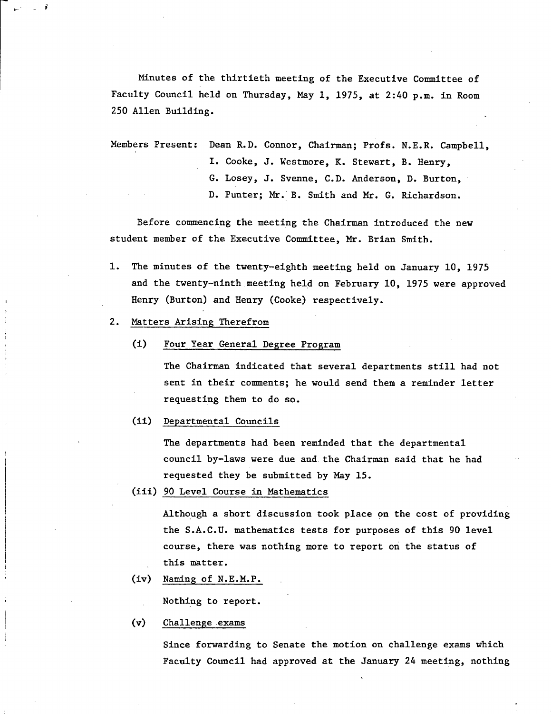Minutes of the thirtieth meeting of the Executive Committee of Faculty Council held on Thursday, May 1, 1975, at 2:40 p.m. in Room 250 Allen Building.

Members Present: Dean R.D. Connor, Chairman; Profs. N.E.R. Campbell, I. Cooke, J. Westmore, K. Stewart, B. Henry, G. Losey, J. Svenne, C.D. Anderson, D. Burton, D. Punter; Mr. B. Smith and Mr. G. Richardson.

Before commencing the meeting the Chairman introduced the new student member of the Executive Committee, Mr. Brian Smith.

- 1. The minutes of the twenty-eighth meeting held on January 10, 1975 and the twenty-ninth meeting held on February 10, 1975 were approved Henry (Burton) and Henry (Cooke) respectively.
- 2. Matters Arising Therefrom
	- (1) Four Year General Degree Program

The Chairman indicated that several departments still had not sent in their comments; he would send them a reminder letter requesting them to do so.

Departmental Councils

The departments had been reminded that the departmental council by-laws were due and, the Chairman said that he had requested they be submitted by May 15.

90 Level Course in Mathematics

Although a short discussion took place on the cost of providing the S.A.C.U. mathematics tests for purposes of this 90 level course, there was nothing more to report on the status of this matter.

Naming of N.E.M.P.

Nothing to report.

 $(v)$ Challenge exams

> Since forwarding to Senate the motion on challenge exams which Faculty Council had approved at the January 24 meeting, nothing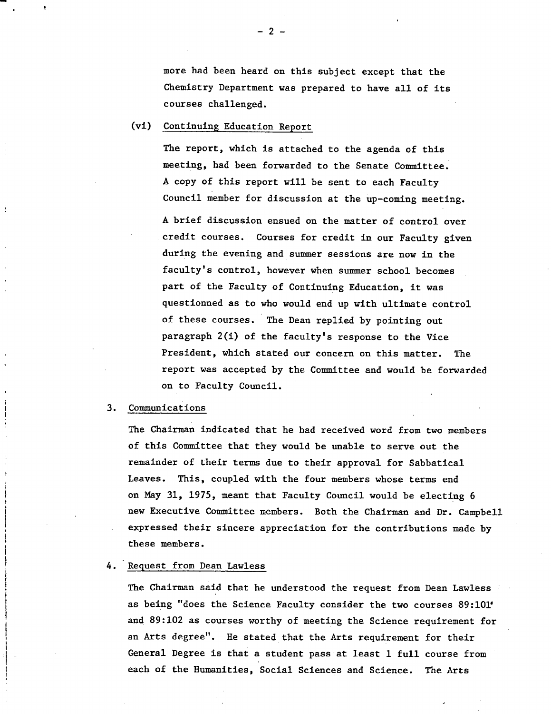more had been heard on this subject except that the Chemistry Department was prepared to have all of its courses challenged.

# (vi) Continuing Education Report

The report, which is attached to the agenda of this meeting, had been forwarded to the Senate Committee. A copy of this report will be sent to each Faculty Council member for discussion at the up-coming meeting.

A brief discussion ensued on the matter of control over credit courses. Courses for credit in our Faculty given during the evening and summer sessions are now in the faculty's control, however when summer school becomes part of the Faculty of Continuing Education, it was questionned as to who would end up with ultimate control of these courses. The Dean replied by pointing out paragraph 2(1) of the faculty's response to the Vice President, which stated our concern on this matter. The report was accepted by the Committee and would be forwarded on to Faculty Council.

#### $3.$ Communications

The Chairman indicated that he had received word from two members of this Committee that they would be unable to serve out the remainder of their terms due to their approval for Sabbatical Leaves. This, coupled with the four members whose terms end on May 31, 1975, meant that Faculty Council would be electing 6 new Executive Committee members. Both the Chairman and Dr. Campbell expressed their sincere appreciation for the contributions made by these members.

### 4. Request from Dean Lawless

The Chairman said that he understood the request from Dean Lawless as being "does the Science Faculty consider the two courses 89:101 and 89:102 as courses worthy of meeting the Science requirement for an Arts degree". He stated that the Arts requirement for their General Degree is that a student pass at least 1 full course from each of the Humanities, Social Sciences and Science. The Arts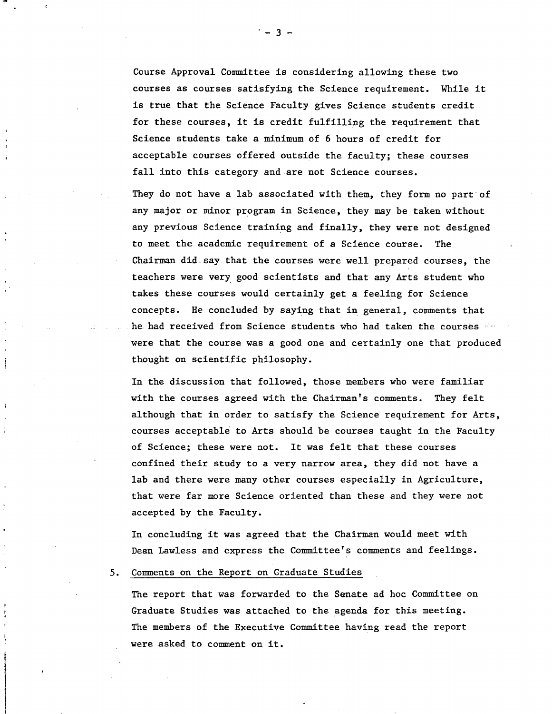Course Approval Committee is considering allowing these two courses as courses satisfying the Science requirement. While it is true that the Science Faculty gives Science students credit for these courses, it is credit fulfilling the requirement that Science students take a minimum of 6 hours of credit for acceptable courses offered outside the faculty; these courses fall into this category and are not Science courses.

They do not have a lab associated with them, they form no part of any major or minor program in Science, they may be taken without any previous Science training and finally, they were not designed to meet the academic requirement of a Science course. The Chairman did say that the courses were well prepared courses, the teachers were very good scientists and that any Arts student who takes these courses would certainly get a feeling for Science concepts. He concluded by saying that in general, comments that he had received from Science students who had taken the courses were that the course was a good one and certainly one that produced thought on scientific philosophy.

In the discussion that followed, those members who were familiar with the courses agreed with the Chairman's comments. They felt although that in order to satisfy the Science requirement for Arts, courses acceptable to Arts should be courses taught in the Faculty of Science; these were not. It was felt that these courses confined their study to a very narrow area, they did not have a lab and there were many other courses especially in Agriculture, that were far more Science oriented than these and they were not accepted by the Faculty.

In concluding it was agreed that the Chairman would meet with Dean Lawless and express the Committee's comments and feelings.

## 5. Comments on the Report on Graduate Studies

The report that was forwarded to the Senate ad hoc Committee on Graduate Studies was attached to the agenda for this meeting. The members of the Executive Committee having read the report were asked to comment on it.

-3-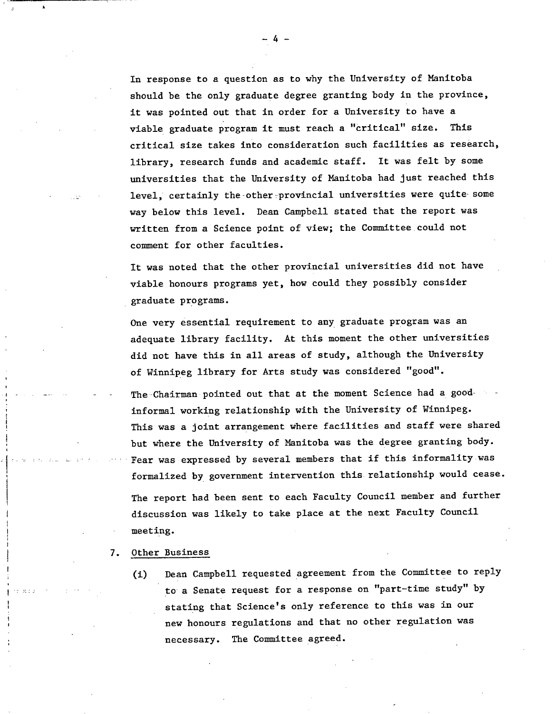In response to a question as to why the University of Manitoba should be the only graduate degree granting body in the province, it was pointed out that in order for a University to have a viable graduate program it must reach a "critical" size. This critical size takes into consideration such facilities as research, library, research funds and academic staff. It was felt by some universities that the University of Manitoba had just reached this level, certainly the other provincial universities were quite some way below this level. Dean Campbell stated that the report was written from a Science point of view; the Committee could not comment for other faculties.

It was noted that the other provincial universities did not have viable honours programs yet, how could they possibly consider graduate programs.

One very essential requirement to any graduate program was an adequate library facility. At this moment the other universities did not have this in all areas of study, although the University of Winnipeg library for Arts study was considered "good".

The Chairman pointed out that at the moment Science had a goodinformal working relationship with the University of Winnipeg. This was a joint arrangement where facilities and staff were shared but where the University of Manitoba was the degree granting body. Fear was expressed by several members that if this informality was formalized by government intervention this relationship would cease. The report had been sent to each Faculty Council member and further discussion was likely to take place at the next Faculty Council meeting.

7. Other Business

(1) Dean Campbell requested agreement from the Committee to reply to a Senate request for a response on "part-time study" by stating that Science's only reference to this was in our new honours regulations and that no other regulation was necessary. The Committee agreed.

 $-4-$